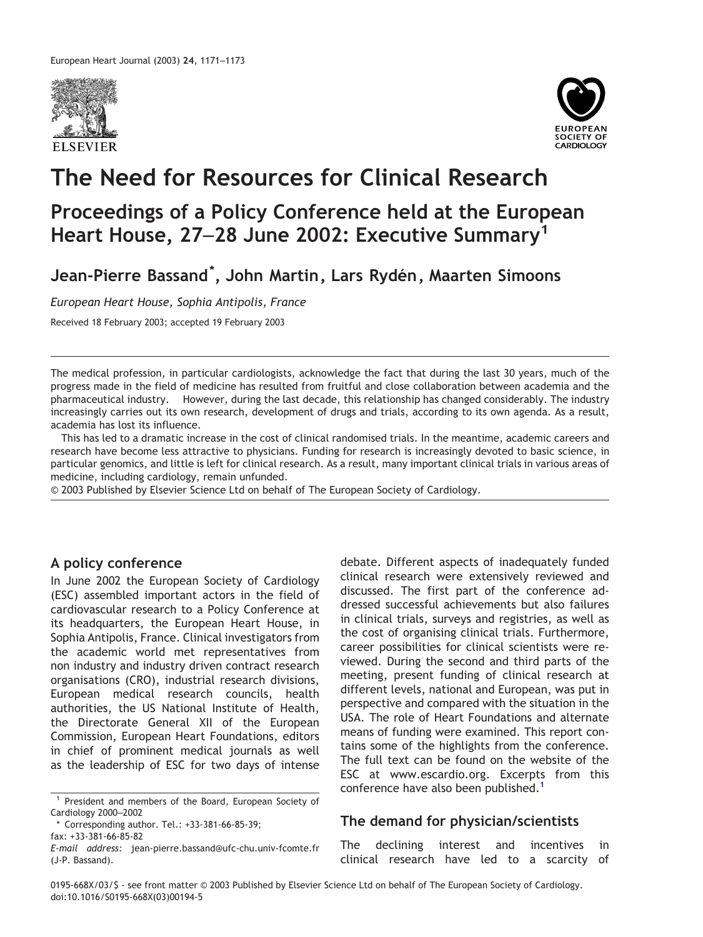



# **The Need for Resources for Clinical Research**

# **Proceedings of a Policy Conference held at the European Heart House, 27**–**28 June 2002: Executive Summary<sup>1</sup>**

**Jean-Pierre Bassand\* , John Martin, Lars Ryde´n, Maarten Simoons**

*European Heart House, Sophia Antipolis, France*

Received 18 February 2003; accepted 19 February 2003

The medical profession, in particular cardiologists, acknowledge the fact that during the last 30 years, much of the progress made in the field of medicine has resulted from fruitful and close collaboration between academia and the pharmaceutical industry. However, during the last decade, this relationship has changed considerably. The industry increasingly carries out its own research, development of drugs and trials, according to its own agenda. As a result, academia has lost its influence.

This has led to a dramatic increase in the cost of clinical randomised trials. In the meantime, academic careers and research have become less attractive to physicians. Funding for research is increasingly devoted to basic science, in particular genomics, and little is left for clinical research. As a result, many important clinical trials in various areas of medicine, including cardiology, remain unfunded.

© 2003 Published by Elsevier Science Ltd on behalf of The European Society of Cardiology.

## **A policy conference**

In June 2002 the European Society of Cardiology (ESC) assembled important actors in the field of cardiovascular research to a Policy Conference at its headquarters, the European Heart House, in Sophia Antipolis, France. Clinical investigators from the academic world met representatives from non industry and industry driven contract research organisations (CRO), industrial research divisions, European medical research councils, health authorities, the US National Institute of Health, the Directorate General XII of the European Commission, European Heart Foundations, editors in chief of prominent medical journals as well as the leadership of ESC for two days of intense

<sup>1</sup> President and members of the Board, European Society of Cardiology 2000–2002

Corresponding author. Tel.: +33-381-66-85-39; fax: +33-381-66-85-82

debate. Different aspects of inadequately funded clinical research were extensively reviewed and discussed. The first part of the conference addressed successful achievements but also failures in clinical trials, surveys and registries, as well as the cost of organising clinical trials. Furthermore, career possibilities for clinical scientists were reviewed. During the second and third parts of the meeting, present funding of clinical research at different levels, national and European, was put in perspective and compared with the situation in the USA. The role of Heart Foundations and alternate means of funding were examined. This report contains some of the highlights from the conference. The full text can be found on the website of the ESC at www.escardio.org. Excerpts from this conference have also been published.<sup>1</sup>

### **The demand for physician/scientists**

The declining interest and incentives in clinical research have led to a scarcity of

*E-mail address:* jean-pierre.bassand@ufc-chu.univ-fcomte.fr (J-P. Bassand).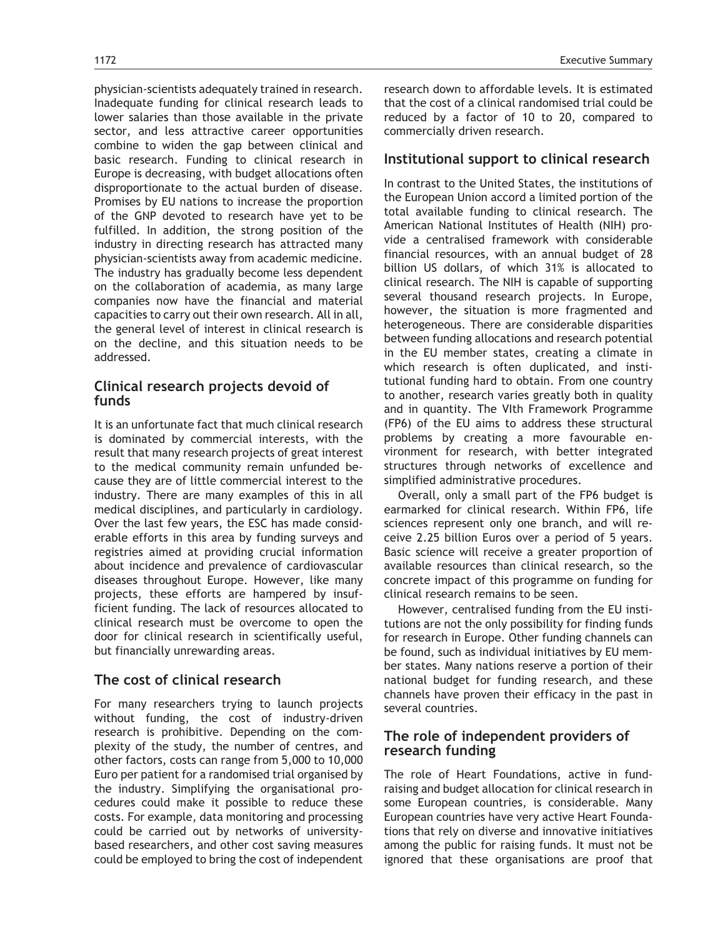physician-scientists adequately trained in research. Inadequate funding for clinical research leads to lower salaries than those available in the private sector, and less attractive career opportunities combine to widen the gap between clinical and basic research. Funding to clinical research in Europe is decreasing, with budget allocations often disproportionate to the actual burden of disease. Promises by EU nations to increase the proportion of the GNP devoted to research have yet to be fulfilled. In addition, the strong position of the industry in directing research has attracted many physician-scientists away from academic medicine. The industry has gradually become less dependent on the collaboration of academia, as many large companies now have the financial and material capacities to carry out their own research. All in all, the general level of interest in clinical research is on the decline, and this situation needs to be addressed.

### **Clinical research projects devoid of funds**

It is an unfortunate fact that much clinical research is dominated by commercial interests, with the result that many research projects of great interest to the medical community remain unfunded because they are of little commercial interest to the industry. There are many examples of this in all medical disciplines, and particularly in cardiology. Over the last few years, the ESC has made considerable efforts in this area by funding surveys and registries aimed at providing crucial information about incidence and prevalence of cardiovascular diseases throughout Europe. However, like many projects, these efforts are hampered by insufficient funding. The lack of resources allocated to clinical research must be overcome to open the door for clinical research in scientifically useful, but financially unrewarding areas.

# **The cost of clinical research**

For many researchers trying to launch projects without funding, the cost of industry-driven research is prohibitive. Depending on the complexity of the study, the number of centres, and other factors, costs can range from 5,000 to 10,000 Euro per patient for a randomised trial organised by the industry. Simplifying the organisational procedures could make it possible to reduce these costs. For example, data monitoring and processing could be carried out by networks of universitybased researchers, and other cost saving measures could be employed to bring the cost of independent

1172 Executive Summary

research down to affordable levels. It is estimated that the cost of a clinical randomised trial could be reduced by a factor of 10 to 20, compared to commercially driven research.

# **Institutional support to clinical research**

In contrast to the United States, the institutions of the European Union accord a limited portion of the total available funding to clinical research. The American National Institutes of Health (NIH) provide a centralised framework with considerable financial resources, with an annual budget of 28 billion US dollars, of which 31% is allocated to clinical research. The NIH is capable of supporting several thousand research projects. In Europe, however, the situation is more fragmented and heterogeneous. There are considerable disparities between funding allocations and research potential in the EU member states, creating a climate in which research is often duplicated, and institutional funding hard to obtain. From one country to another, research varies greatly both in quality and in quantity. The VIth Framework Programme (FP6) of the EU aims to address these structural problems by creating a more favourable environment for research, with better integrated structures through networks of excellence and simplified administrative procedures.

Overall, only a small part of the FP6 budget is earmarked for clinical research. Within FP6, life sciences represent only one branch, and will receive 2.25 billion Euros over a period of 5 years. Basic science will receive a greater proportion of available resources than clinical research, so the concrete impact of this programme on funding for clinical research remains to be seen.

However, centralised funding from the EU institutions are not the only possibility for finding funds for research in Europe. Other funding channels can be found, such as individual initiatives by EU member states. Many nations reserve a portion of their national budget for funding research, and these channels have proven their efficacy in the past in several countries.

# **The role of independent providers of research funding**

The role of Heart Foundations, active in fundraising and budget allocation for clinical research in some European countries, is considerable. Many European countries have very active Heart Foundations that rely on diverse and innovative initiatives among the public for raising funds. It must not be ignored that these organisations are proof that